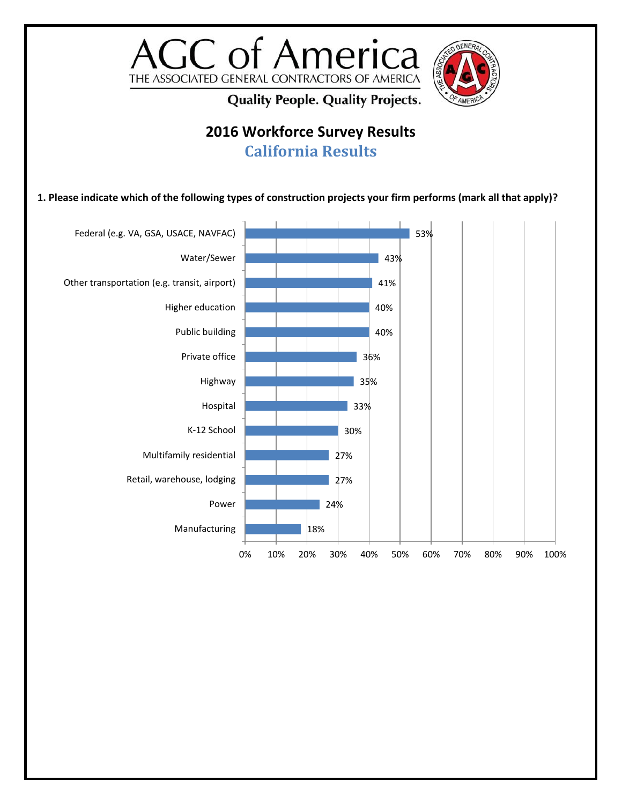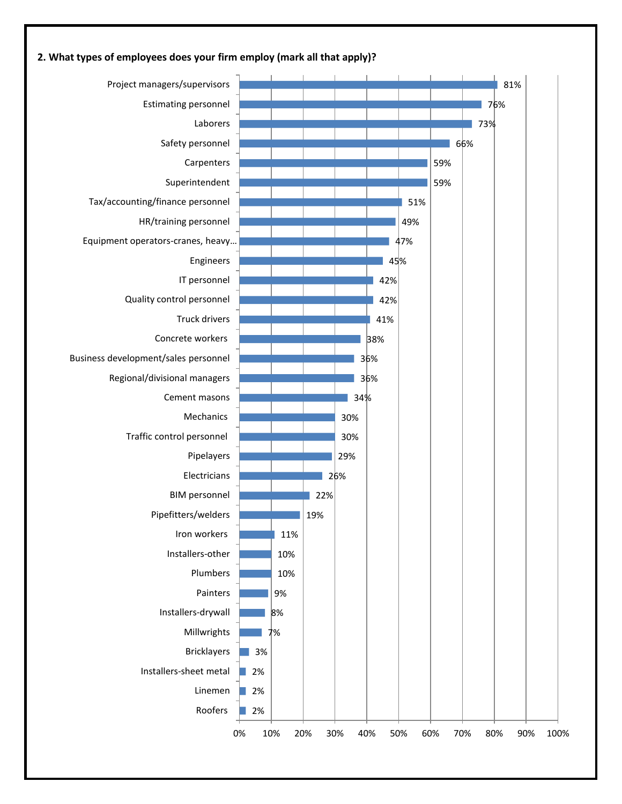

## **2. What types of employees does your firm employ (mark all that apply)?**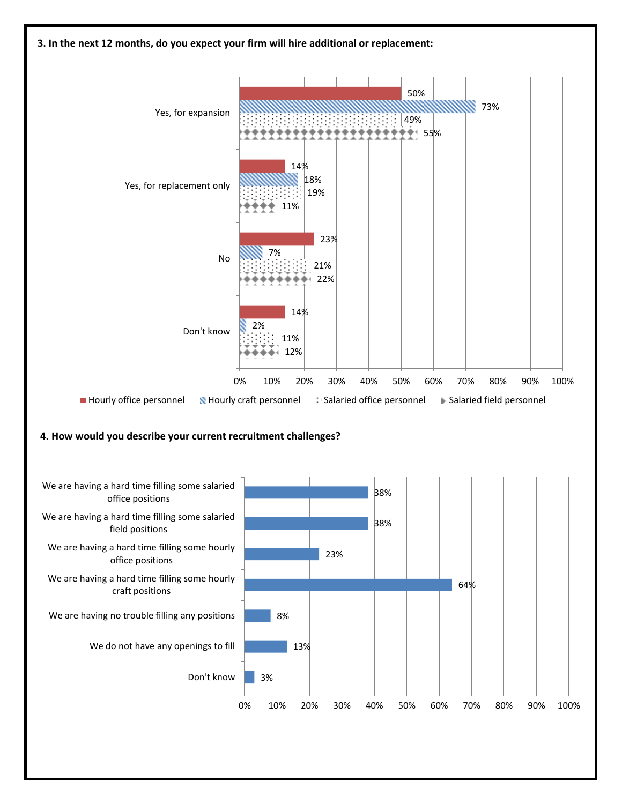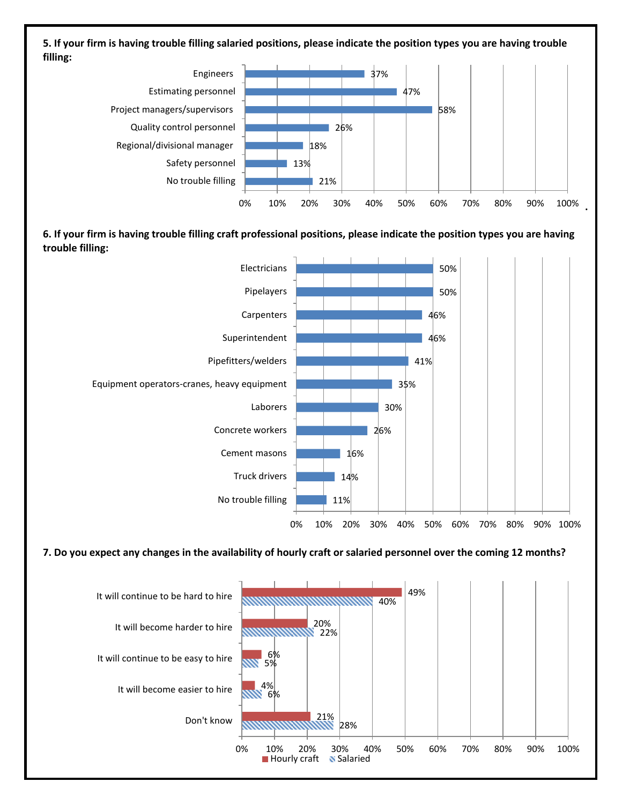**5. If your firm is having trouble filling salaried positions, please indicate the position types you are having trouble filling:**



**.** 

**6. If your firm is having trouble filling craft professional positions, please indicate the position types you are having trouble filling:**



## **7. Do you expect any changes in the availability of hourly craft or salaried personnel over the coming 12 months?**

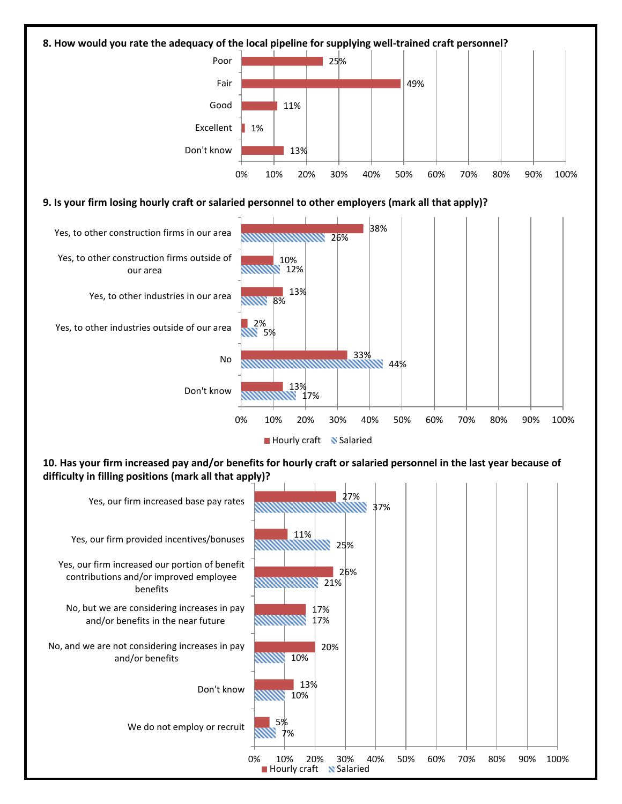

10%

13%

10%

mm

17%

17%

20%

21%

26%

Yes, our firm increased our portion of benefit contributions and/or improved employee benefits

No, but we are considering increases in pay and/or benefits in the near future

No, and we are not considering increases in pay and/or benefits

Don't know

We do not employ or recruit

7% 5% 0% 10% 20% 30% 40% 50% 60% 70% 80% 90% 100% Hourly craft N Salaried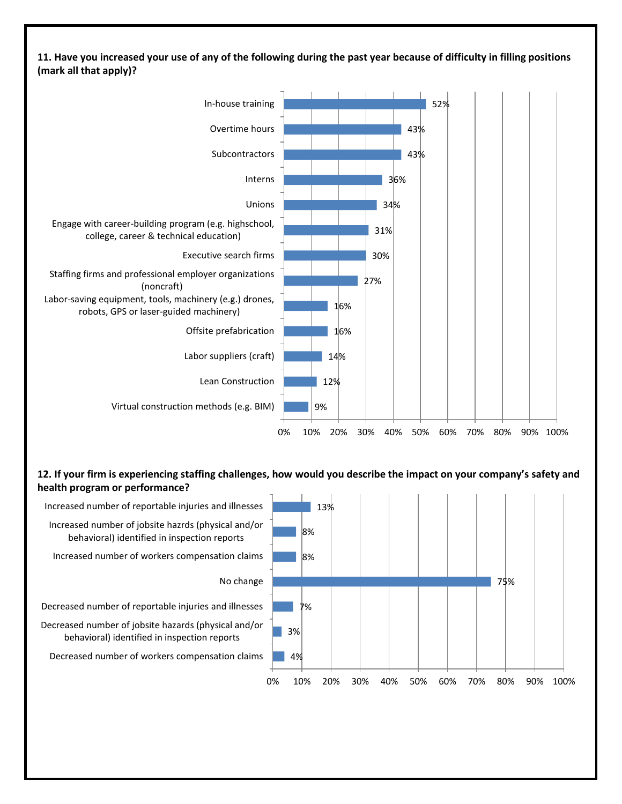## **11. Have you increased your use of any of the following during the past year because of difficulty in filling positions (mark all that apply)?**



## **12. If your firm is experiencing staffing challenges, how would you describe the impact on your company's safety and health program or performance?**